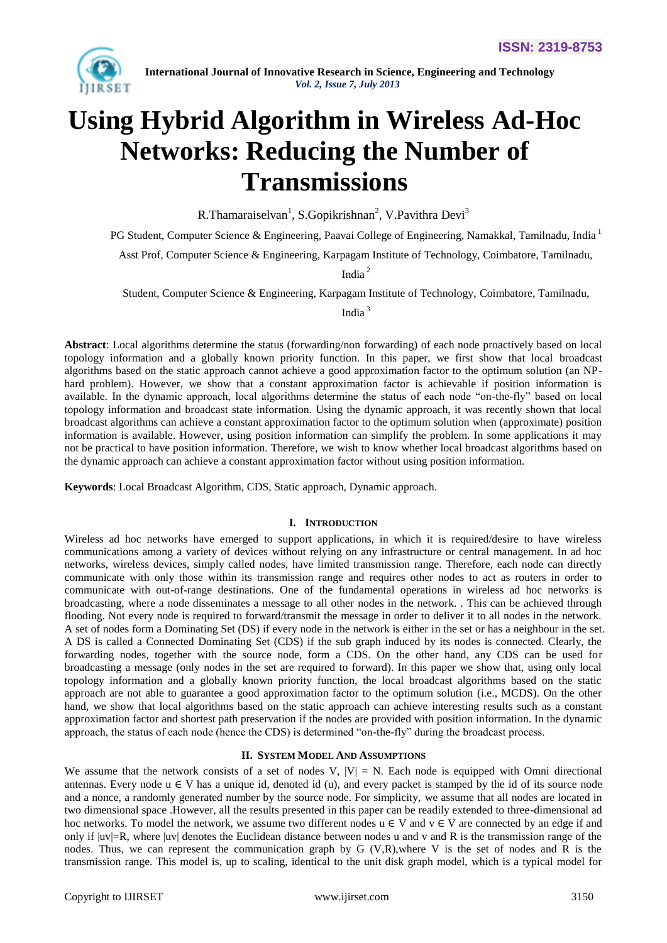

# **Using Hybrid Algorithm in Wireless Ad-Hoc Networks: Reducing the Number of Transmissions**

R.Thamaraiselvan<sup>1</sup>, S.Gopikrishnan<sup>2</sup>, V.Pavithra Devi<sup>3</sup>

PG Student, Computer Science & Engineering, Paavai College of Engineering, Namakkal, Tamilnadu, India<sup>1</sup>

Asst Prof, Computer Science & Engineering, Karpagam Institute of Technology, Coimbatore, Tamilnadu,

India <sup>2</sup>

Student, Computer Science & Engineering, Karpagam Institute of Technology, Coimbatore, Tamilnadu,

India <sup>3</sup>

**Abstract**: Local algorithms determine the status (forwarding/non forwarding) of each node proactively based on local topology information and a globally known priority function. In this paper, we first show that local broadcast algorithms based on the static approach cannot achieve a good approximation factor to the optimum solution (an NPhard problem). However, we show that a constant approximation factor is achievable if position information is available. In the dynamic approach, local algorithms determine the status of each node "on-the-fly" based on local topology information and broadcast state information. Using the dynamic approach, it was recently shown that local broadcast algorithms can achieve a constant approximation factor to the optimum solution when (approximate) position information is available. However, using position information can simplify the problem. In some applications it may not be practical to have position information. Therefore, we wish to know whether local broadcast algorithms based on the dynamic approach can achieve a constant approximation factor without using position information.

**Keywords**: Local Broadcast Algorithm, CDS, Static approach, Dynamic approach.

# **I. INTRODUCTION**

Wireless ad hoc networks have emerged to support applications, in which it is required/desire to have wireless communications among a variety of devices without relying on any infrastructure or central management. In ad hoc networks, wireless devices, simply called nodes, have limited transmission range. Therefore, each node can directly communicate with only those within its transmission range and requires other nodes to act as routers in order to communicate with out-of-range destinations. One of the fundamental operations in wireless ad hoc networks is broadcasting, where a node disseminates a message to all other nodes in the network. . This can be achieved through flooding. Not every node is required to forward/transmit the message in order to deliver it to all nodes in the network. A set of nodes form a Dominating Set (DS) if every node in the network is either in the set or has a neighbour in the set. A DS is called a Connected Dominating Set (CDS) if the sub graph induced by its nodes is connected. Clearly, the forwarding nodes, together with the source node, form a CDS. On the other hand, any CDS can be used for broadcasting a message (only nodes in the set are required to forward). In this paper we show that, using only local topology information and a globally known priority function, the local broadcast algorithms based on the static approach are not able to guarantee a good approximation factor to the optimum solution (i.e., MCDS). On the other hand, we show that local algorithms based on the static approach can achieve interesting results such as a constant approximation factor and shortest path preservation if the nodes are provided with position information. In the dynamic approach, the status of each node (hence the CDS) is determined "on-the-fly" during the broadcast process.

# **II. SYSTEM MODEL AND ASSUMPTIONS**

We assume that the network consists of a set of nodes V,  $|V| = N$ . Each node is equipped with Omni directional antennas. Every node  $u \in V$  has a unique id, denoted id (u), and every packet is stamped by the id of its source node and a nonce, a randomly generated number by the source node. For simplicity, we assume that all nodes are located in two dimensional space .However, all the results presented in this paper can be readily extended to three-dimensional ad hoc networks. To model the network, we assume two different nodes  $u \in V$  and  $v \in V$  are connected by an edge if and only if  $|uv|=R$ , where  $|uv|$  denotes the Euclidean distance between nodes u and v and R is the transmission range of the nodes. Thus, we can represent the communication graph by G (V,R),where V is the set of nodes and R is the transmission range. This model is, up to scaling, identical to the unit disk graph model, which is a typical model for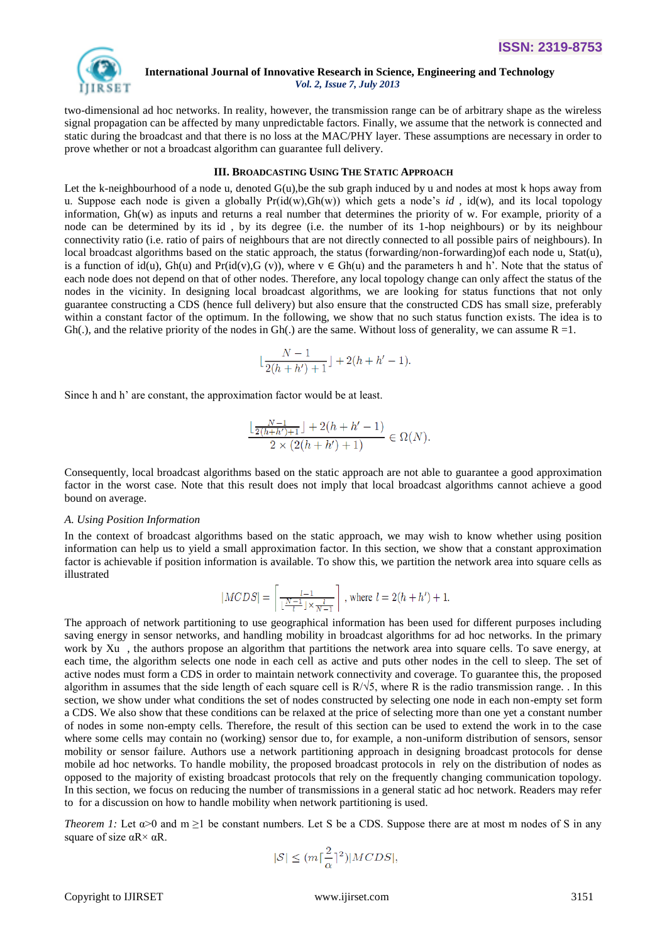

two-dimensional ad hoc networks. In reality, however, the transmission range can be of arbitrary shape as the wireless signal propagation can be affected by many unpredictable factors. Finally, we assume that the network is connected and static during the broadcast and that there is no loss at the MAC/PHY layer. These assumptions are necessary in order to prove whether or not a broadcast algorithm can guarantee full delivery.

# **III. BROADCASTING USING THE STATIC APPROACH**

Let the k-neighbourhood of a node u, denoted  $G(u)$ , be the sub graph induced by u and nodes at most k hops away from u. Suppose each node is given a globally  $Pr(id(w), Gh(w))$  which gets a node's *id*,  $id(w)$ , and its local topology information, Gh(w) as inputs and returns a real number that determines the priority of w. For example, priority of a node can be determined by its id , by its degree (i.e. the number of its 1-hop neighbours) or by its neighbour connectivity ratio (i.e. ratio of pairs of neighbours that are not directly connected to all possible pairs of neighbours). In local broadcast algorithms based on the static approach, the status (forwarding/non-forwarding)of each node u, Stat(u), is a function of id(u), Gh(u) and Pr(id(v), G(v)), where  $v \in Gh(u)$  and the parameters h and h'. Note that the status of each node does not depend on that of other nodes. Therefore, any local topology change can only affect the status of the nodes in the vicinity. In designing local broadcast algorithms, we are looking for status functions that not only guarantee constructing a CDS (hence full delivery) but also ensure that the constructed CDS has small size, preferably within a constant factor of the optimum. In the following, we show that no such status function exists. The idea is to  $Gh(.)$ , and the relative priority of the nodes in  $Gh(.)$  are the same. Without loss of generality, we can assume  $R = 1$ .

$$
\lfloor \frac{N-1}{2(h+h')+1} \rfloor + 2(h+h'-1).
$$

Since h and h' are constant, the approximation factor would be at least.

$$
\frac{\lfloor\frac{N-1}{2(h+h')+1}\rfloor+2(h+h'-1)}{2\times(2(h+h')+1)}\in\Omega(N)
$$

Consequently, local broadcast algorithms based on the static approach are not able to guarantee a good approximation factor in the worst case. Note that this result does not imply that local broadcast algorithms cannot achieve a good bound on average.

#### *A. Using Position Information*

In the context of broadcast algorithms based on the static approach, we may wish to know whether using position information can help us to yield a small approximation factor. In this section, we show that a constant approximation factor is achievable if position information is available. To show this, we partition the network area into square cells as illustrated

$$
|\mathit{MCDS}|=\left\lceil\frac{l-1}{\lfloor\frac{N-1}{l}\rfloor\times\frac{l}{N-1}}\right\rceil
$$
 , where  $l=2(h+h')+1.$ 

The approach of network partitioning to use geographical information has been used for different purposes including saving energy in sensor networks, and handling mobility in broadcast algorithms for ad hoc networks. In the primary work by Xu , the authors propose an algorithm that partitions the network area into square cells. To save energy, at each time, the algorithm selects one node in each cell as active and puts other nodes in the cell to sleep. The set of active nodes must form a CDS in order to maintain network connectivity and coverage. To guarantee this, the proposed algorithm in assumes that the side length of each square cell is  $R/\sqrt{5}$ , where R is the radio transmission range. . In this section, we show under what conditions the set of nodes constructed by selecting one node in each non-empty set form a CDS. We also show that these conditions can be relaxed at the price of selecting more than one yet a constant number of nodes in some non-empty cells. Therefore, the result of this section can be used to extend the work in to the case where some cells may contain no (working) sensor due to, for example, a non-uniform distribution of sensors, sensor mobility or sensor failure. Authors use a network partitioning approach in designing broadcast protocols for dense mobile ad hoc networks. To handle mobility, the proposed broadcast protocols in rely on the distribution of nodes as opposed to the majority of existing broadcast protocols that rely on the frequently changing communication topology. In this section, we focus on reducing the number of transmissions in a general static ad hoc network. Readers may refer to for a discussion on how to handle mobility when network partitioning is used.

*Theorem 1:* Let  $\alpha$ >0 and m  $\geq$ 1 be constant numbers. Let S be a CDS. Suppose there are at most m nodes of S in any square of size  $\alpha$ R $\times$   $\alpha$ R.

$$
|\mathcal{S}|\leq (m\lceil\frac{2}{\alpha}\rceil^2)|MCDS|,
$$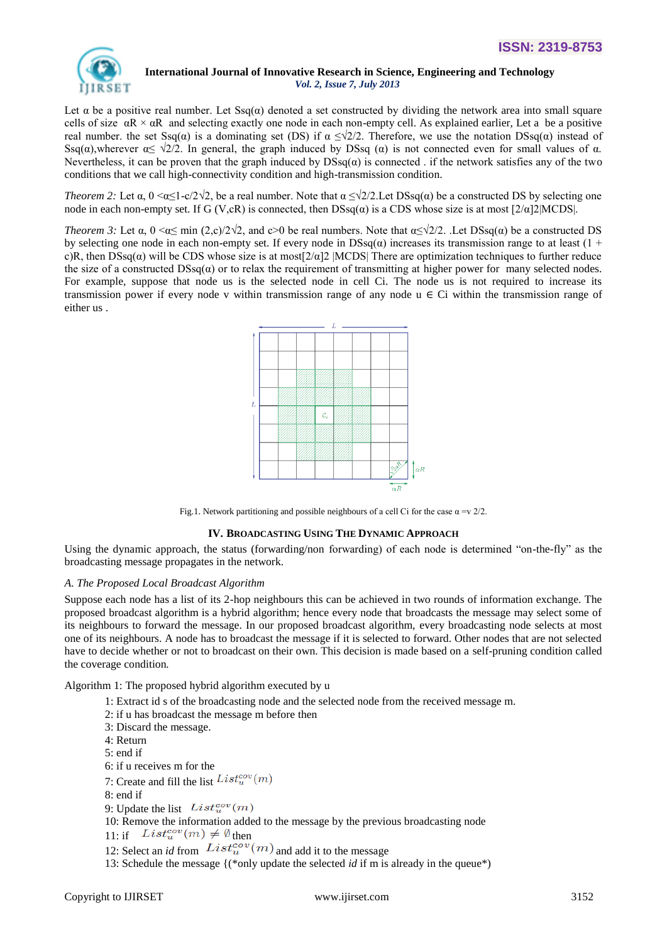

Let  $\alpha$  be a positive real number. Let Ssq( $\alpha$ ) denoted a set constructed by dividing the network area into small square cells of size  $\alpha R \times \alpha R$  and selecting exactly one node in each non-empty cell. As explained earlier, Let a be a positive real number. the set Ssq( $\alpha$ ) is a dominating set (DS) if  $\alpha \leq \sqrt{2}/2$ . Therefore, we use the notation DSsq( $\alpha$ ) instead of Ssq( $\alpha$ ),wherever  $\alpha \le \sqrt{2}/2$ . In general, the graph induced by DSsq ( $\alpha$ ) is not connected even for small values of  $\alpha$ . Nevertheless, it can be proven that the graph induced by  $DSsq(\alpha)$  is connected. if the network satisfies any of the two conditions that we call high-connectivity condition and high-transmission condition.

*Theorem 2:* Let  $\alpha$ ,  $0 \le \alpha \le 1 - c/2\sqrt{2}$ , be a real number. Note that  $\alpha \le \sqrt{2}/2$ . Let DSsq( $\alpha$ ) be a constructed DS by selecting one node in each non-empty set. If G (V,cR) is connected, then  $DSsq(\alpha)$  is a CDS whose size is at most  $[2/\alpha]2$ |MCDS|.

*Theorem 3:* Let  $\alpha$ ,  $0 \le \alpha \le \min (2, c)/2\sqrt{2}$ , and  $c > 0$  be real numbers. Note that  $\alpha \le \sqrt{2}/2$ . Let DSsq( $\alpha$ ) be a constructed DS by selecting one node in each non-empty set. If every node in  $DSsq(\alpha)$  increases its transmission range to at least (1 + c)R, then  $DSsq(\alpha)$  will be CDS whose size is at most[ $2/\alpha$ ]2 |MCDS| There are optimization techniques to further reduce the size of a constructed  $DSsq(\alpha)$  or to relax the requirement of transmitting at higher power for many selected nodes. For example, suppose that node us is the selected node in cell Ci. The node us is not required to increase its transmission power if every node v within transmission range of any node  $u \in Ci$  within the transmission range of either us .



Fig.1. Network partitioning and possible neighbours of a cell Ci for the case  $\alpha = v/2/2$ .

# **IV. BROADCASTING USING THE DYNAMIC APPROACH**

Using the dynamic approach, the status (forwarding/non forwarding) of each node is determined "on-the-fly" as the broadcasting message propagates in the network.

# *A. The Proposed Local Broadcast Algorithm*

Suppose each node has a list of its 2-hop neighbours this can be achieved in two rounds of information exchange. The proposed broadcast algorithm is a hybrid algorithm; hence every node that broadcasts the message may select some of its neighbours to forward the message. In our proposed broadcast algorithm, every broadcasting node selects at most one of its neighbours. A node has to broadcast the message if it is selected to forward. Other nodes that are not selected have to decide whether or not to broadcast on their own. This decision is made based on a self-pruning condition called the coverage condition*.*

Algorithm 1: The proposed hybrid algorithm executed by u

- 1: Extract id s of the broadcasting node and the selected node from the received message m.
- 2: if u has broadcast the message m before then
- 3: Discard the message.
- 4: Return
- 5: end if
- 6: if u receives m for the
- 7: Create and fill the list  $List_{u}^{cov}(m)$
- 8: end if
- 9: Update the list  $List_{u}^{cov}(m)$
- 10: Remove the information added to the message by the previous broadcasting node
- 11: if  $List_u^{cov}(m) \neq \emptyset$  then
- 12: Select an *id* from  $List_{u}^{cov}(m)$  and add it to the message
- 13: Schedule the message {(\*only update the selected *id* if m is already in the queue\*)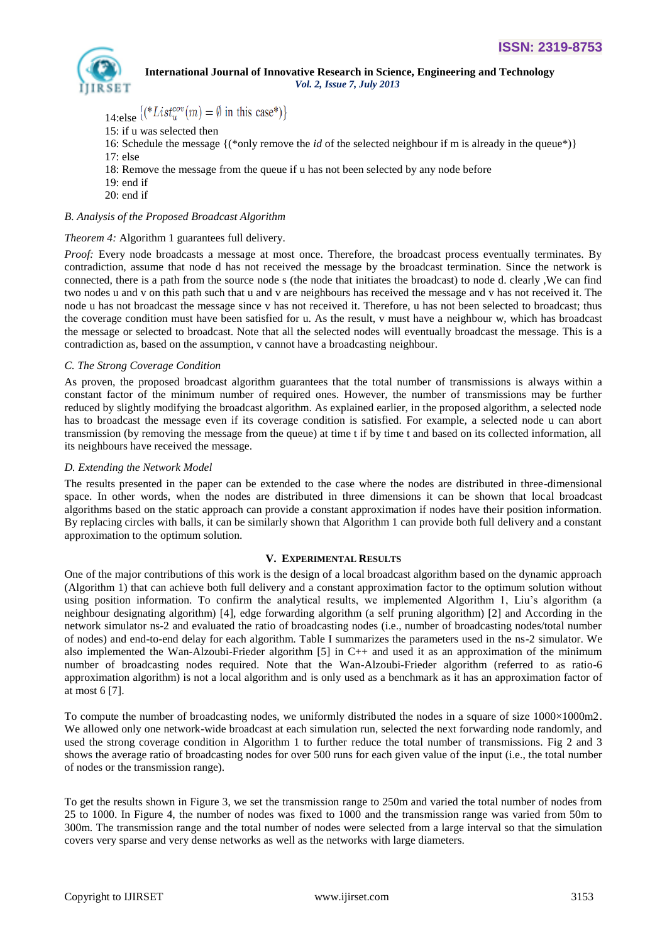

# **International Journal of Innovative Research in Science, Engineering and Technology**

 *Vol. 2, Issue 7, July 2013*

14:else  $\left[(*List_{u}^{cov}(m) = \emptyset \text{ in this case}^*)\right]$ 

- 15: if u was selected then
- 16: Schedule the message {(\*only remove the *id* of the selected neighbour if m is already in the queue\*)}
- 17: else
- 18: Remove the message from the queue if u has not been selected by any node before
- 19: end if
- 20: end if

# *B. Analysis of the Proposed Broadcast Algorithm*

# *Theorem 4:* Algorithm 1 guarantees full delivery.

*Proof:* Every node broadcasts a message at most once. Therefore, the broadcast process eventually terminates. By contradiction, assume that node d has not received the message by the broadcast termination. Since the network is connected, there is a path from the source node s (the node that initiates the broadcast) to node d. clearly ,We can find two nodes u and v on this path such that u and v are neighbours has received the message and v has not received it. The node u has not broadcast the message since v has not received it. Therefore, u has not been selected to broadcast; thus the coverage condition must have been satisfied for u. As the result, v must have a neighbour w, which has broadcast the message or selected to broadcast. Note that all the selected nodes will eventually broadcast the message. This is a contradiction as, based on the assumption, v cannot have a broadcasting neighbour.

# *C. The Strong Coverage Condition*

As proven, the proposed broadcast algorithm guarantees that the total number of transmissions is always within a constant factor of the minimum number of required ones. However, the number of transmissions may be further reduced by slightly modifying the broadcast algorithm. As explained earlier, in the proposed algorithm, a selected node has to broadcast the message even if its coverage condition is satisfied. For example, a selected node u can abort transmission (by removing the message from the queue) at time t if by time t and based on its collected information, all its neighbours have received the message.

# *D. Extending the Network Model*

The results presented in the paper can be extended to the case where the nodes are distributed in three-dimensional space. In other words, when the nodes are distributed in three dimensions it can be shown that local broadcast algorithms based on the static approach can provide a constant approximation if nodes have their position information. By replacing circles with balls, it can be similarly shown that Algorithm 1 can provide both full delivery and a constant approximation to the optimum solution.

# **V. EXPERIMENTAL RESULTS**

One of the major contributions of this work is the design of a local broadcast algorithm based on the dynamic approach (Algorithm 1) that can achieve both full delivery and a constant approximation factor to the optimum solution without using position information. To confirm the analytical results, we implemented Algorithm 1, Liu"s algorithm (a neighbour designating algorithm) [4], edge forwarding algorithm (a self pruning algorithm) [2] and According in the network simulator ns-2 and evaluated the ratio of broadcasting nodes (i.e., number of broadcasting nodes/total number of nodes) and end-to-end delay for each algorithm. Table I summarizes the parameters used in the ns-2 simulator. We also implemented the Wan-Alzoubi-Frieder algorithm [5] in C++ and used it as an approximation of the minimum number of broadcasting nodes required. Note that the Wan-Alzoubi-Frieder algorithm (referred to as ratio-6 approximation algorithm) is not a local algorithm and is only used as a benchmark as it has an approximation factor of at most 6 [7].

To compute the number of broadcasting nodes, we uniformly distributed the nodes in a square of size 1000×1000m2. We allowed only one network-wide broadcast at each simulation run, selected the next forwarding node randomly, and used the strong coverage condition in Algorithm 1 to further reduce the total number of transmissions. Fig 2 and 3 shows the average ratio of broadcasting nodes for over 500 runs for each given value of the input (i.e., the total number of nodes or the transmission range).

To get the results shown in Figure 3, we set the transmission range to 250m and varied the total number of nodes from 25 to 1000. In Figure 4, the number of nodes was fixed to 1000 and the transmission range was varied from 50m to 300m. The transmission range and the total number of nodes were selected from a large interval so that the simulation covers very sparse and very dense networks as well as the networks with large diameters.